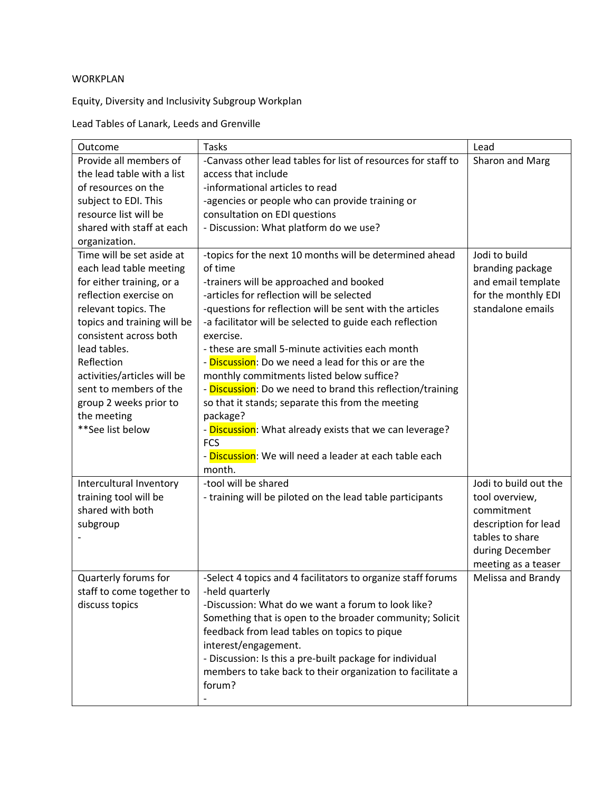## WORKPLAN

Equity, Diversity and Inclusivity Subgroup Workplan

Lead Tables of Lanark, Leeds and Grenville

| Outcome                     | <b>Tasks</b>                                                       | Lead                  |
|-----------------------------|--------------------------------------------------------------------|-----------------------|
| Provide all members of      | -Canvass other lead tables for list of resources for staff to      | Sharon and Marg       |
| the lead table with a list  | access that include                                                |                       |
| of resources on the         | -informational articles to read                                    |                       |
| subject to EDI. This        | -agencies or people who can provide training or                    |                       |
| resource list will be       | consultation on EDI questions                                      |                       |
| shared with staff at each   | - Discussion: What platform do we use?                             |                       |
| organization.               |                                                                    |                       |
| Time will be set aside at   | -topics for the next 10 months will be determined ahead            | Jodi to build         |
| each lead table meeting     | of time                                                            | branding package      |
| for either training, or a   | -trainers will be approached and booked                            | and email template    |
| reflection exercise on      | -articles for reflection will be selected                          | for the monthly EDI   |
| relevant topics. The        | -questions for reflection will be sent with the articles           | standalone emails     |
| topics and training will be | -a facilitator will be selected to guide each reflection           |                       |
| consistent across both      | exercise.                                                          |                       |
| lead tables.                | - these are small 5-minute activities each month                   |                       |
| Reflection                  | - Discussion: Do we need a lead for this or are the                |                       |
| activities/articles will be | monthly commitments listed below suffice?                          |                       |
| sent to members of the      | - <b>Discussion</b> : Do we need to brand this reflection/training |                       |
| group 2 weeks prior to      | so that it stands; separate this from the meeting                  |                       |
| the meeting                 | package?                                                           |                       |
| **See list below            | - <b>Discussion</b> : What already exists that we can leverage?    |                       |
|                             | <b>FCS</b>                                                         |                       |
|                             | - <b>Discussion</b> : We will need a leader at each table each     |                       |
|                             | month.                                                             |                       |
| Intercultural Inventory     | -tool will be shared                                               | Jodi to build out the |
| training tool will be       | - training will be piloted on the lead table participants          | tool overview,        |
| shared with both            |                                                                    | commitment            |
| subgroup                    |                                                                    | description for lead  |
|                             |                                                                    | tables to share       |
|                             |                                                                    | during December       |
|                             |                                                                    | meeting as a teaser   |
| Quarterly forums for        | -Select 4 topics and 4 facilitators to organize staff forums       | Melissa and Brandy    |
| staff to come together to   | -held quarterly                                                    |                       |
| discuss topics              | -Discussion: What do we want a forum to look like?                 |                       |
|                             | Something that is open to the broader community; Solicit           |                       |
|                             | feedback from lead tables on topics to pique                       |                       |
|                             | interest/engagement.                                               |                       |
|                             | - Discussion: Is this a pre-built package for individual           |                       |
|                             | members to take back to their organization to facilitate a         |                       |
|                             | forum?                                                             |                       |
|                             |                                                                    |                       |